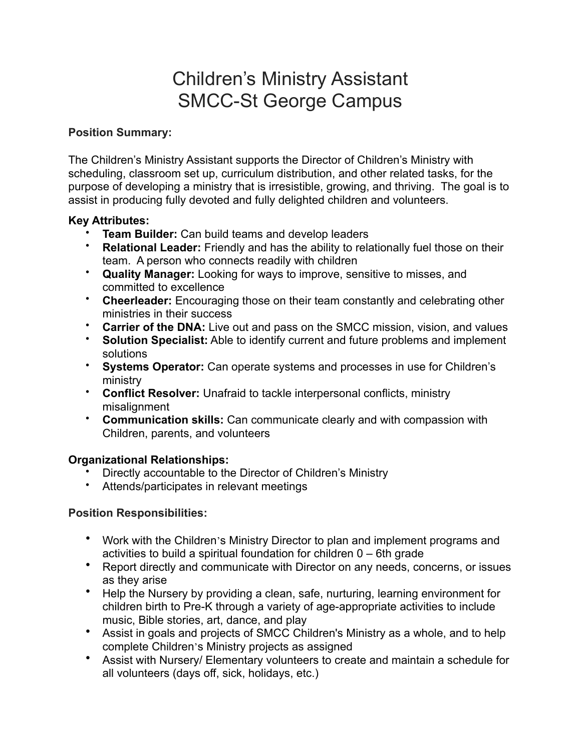# Children's Ministry Assistant SMCC-St George Campus

# **Position Summary:**

The Children's Ministry Assistant supports the Director of Children's Ministry with scheduling, classroom set up, curriculum distribution, and other related tasks, for the purpose of developing a ministry that is irresistible, growing, and thriving. The goal is to assist in producing fully devoted and fully delighted children and volunteers.

# **Key Attributes:**

- **Team Builder:** Can build teams and develop leaders
- **Relational Leader:** Friendly and has the ability to relationally fuel those on their team. A person who connects readily with children
- **Quality Manager:** Looking for ways to improve, sensitive to misses, and committed to excellence
- **Cheerleader:** Encouraging those on their team constantly and celebrating other ministries in their success
- **Carrier of the DNA:** Live out and pass on the SMCC mission, vision, and values
- **Solution Specialist:** Able to identify current and future problems and implement solutions
- **Systems Operator:** Can operate systems and processes in use for Children's ministry
- **Conflict Resolver:** Unafraid to tackle interpersonal conflicts, ministry misalignment
- **Communication skills:** Can communicate clearly and with compassion with Children, parents, and volunteers

# **Organizational Relationships:**

- Directly accountable to the Director of Children's Ministry
- Attends/participates in relevant meetings

# **Position Responsibilities:**

- Work with the Children's Ministry Director to plan and implement programs and activities to build a spiritual foundation for children 0 – 6th grade
- Report directly and communicate with Director on any needs, concerns, or issues as they arise
- Help the Nursery by providing a clean, safe, nurturing, learning environment for children birth to Pre-K through a variety of age-appropriate activities to include music, Bible stories, art, dance, and play
- Assist in goals and projects of SMCC Children's Ministry as a whole, and to help complete Children's Ministry projects as assigned
- Assist with Nursery/ Elementary volunteers to create and maintain a schedule for all volunteers (days off, sick, holidays, etc.)